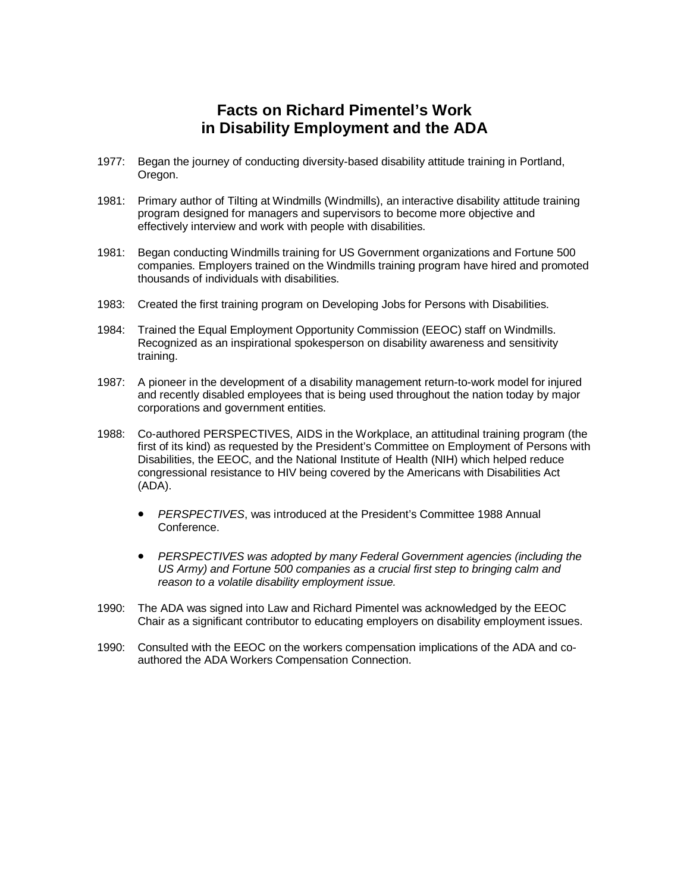## **Facts on Richard Pimentel's Work in Disability Employment and the ADA**

- 1977: Began the journey of conducting diversity-based disability attitude training in Portland, Oregon.
- 1981: Primary author of Tilting at Windmills (Windmills), an interactive disability attitude training program designed for managers and supervisors to become more objective and effectively interview and work with people with disabilities.
- 1981: Began conducting Windmills training for US Government organizations and Fortune 500 companies. Employers trained on the Windmills training program have hired and promoted thousands of individuals with disabilities.
- 1983: Created the first training program on Developing Jobs for Persons with Disabilities.
- 1984: Trained the Equal Employment Opportunity Commission (EEOC) staff on Windmills. Recognized as an inspirational spokesperson on disability awareness and sensitivity training.
- 1987: A pioneer in the development of a disability management return-to-work model for injured and recently disabled employees that is being used throughout the nation today by major corporations and government entities.
- 1988: Co-authored PERSPECTIVES, AIDS in the Workplace, an attitudinal training program (the first of its kind) as requested by the President's Committee on Employment of Persons with Disabilities, the EEOC, and the National Institute of Health (NIH) which helped reduce congressional resistance to HIV being covered by the Americans with Disabilities Act (ADA).
	- *PERSPECTIVES*, was introduced at the President's Committee 1988 Annual Conference.
	- *PERSPECTIVES was adopted by many Federal Government agencies (including the US Army) and Fortune 500 companies as a crucial first step to bringing calm and reason to a volatile disability employment issue.*
- 1990: The ADA was signed into Law and Richard Pimentel was acknowledged by the EEOC Chair as a significant contributor to educating employers on disability employment issues.
- 1990: Consulted with the EEOC on the workers compensation implications of the ADA and co authored the ADA Workers Compensation Connection.